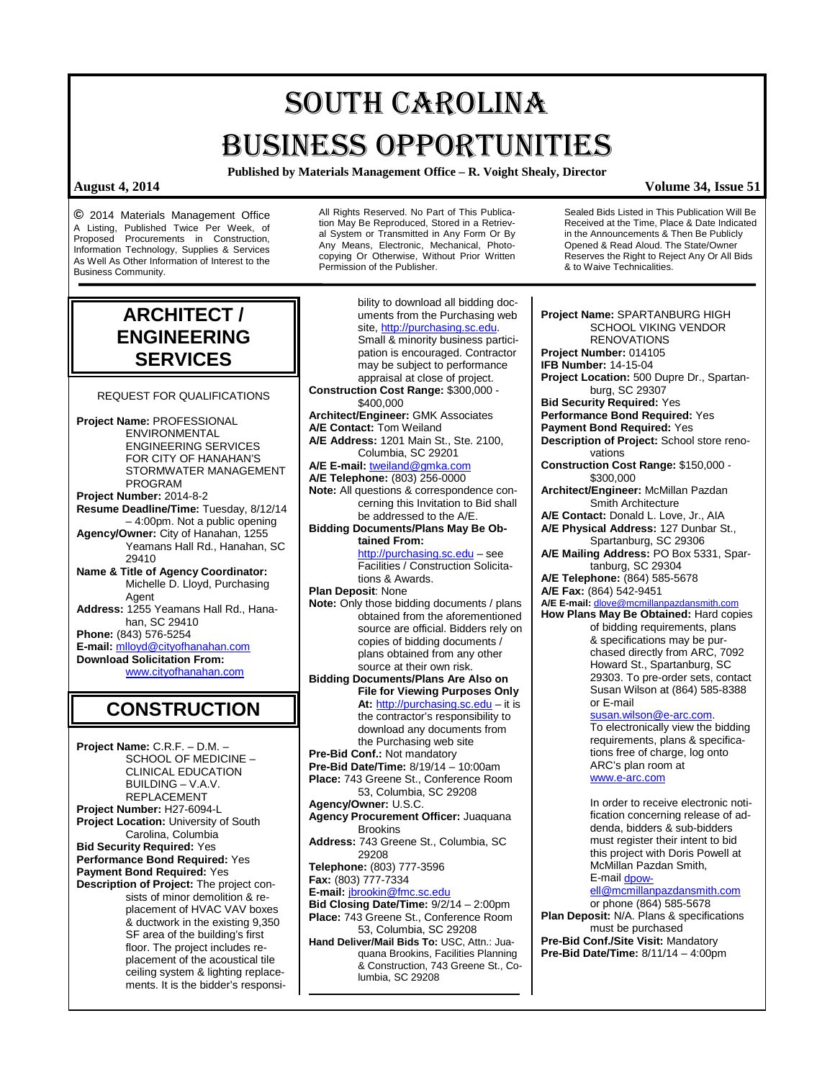# SOUTH CAROLINA BUSINESS OPPORTUNITIES

**Published by Materials Management Office – R. Voight Shealy, Director**

### **August 4, 2014 Volume 34, Issue 51**

**©** 2014 Materials Management Office A Listing, Published Twice Per Week, of Proposed Procurements in Construction, Information Technology, Supplies & Services As Well As Other Information of Interest to the Business Community.

All Rights Reserved. No Part of This Publication May Be Reproduced, Stored in a Retrieval System or Transmitted in Any Form Or By Any Means, Electronic, Mechanical, Photocopying Or Otherwise, Without Prior Written Permission of the Publisher.

Sealed Bids Listed in This Publication Will Be Received at the Time, Place & Date Indicated in the Announcements & Then Be Publicly Opened & Read Aloud. The State/Owner Reserves the Right to Reject Any Or All Bids & to Waive Technicalities.

## **ARCHITECT / ENGINEERING SERVICES**

REQUEST FOR QUALIFICATIONS

**Project Name:** PROFESSIONAL ENVIRONMENTAL ENGINEERING SERVICES FOR CITY OF HANAHAN'S STORMWATER MANAGEMENT PROGRAM **Project Number:** 2014-8-2 **Resume Deadline/Time:** Tuesday, 8/12/14 – 4:00pm. Not a public opening **Agency/Owner:** City of Hanahan, 1255 Yeamans Hall Rd., Hanahan, SC 29410 **Name & Title of Agency Coordinator:** Michelle D. Lloyd, Purchasing Agent **Address:** 1255 Yeamans Hall Rd., Hanahan, SC 29410 **Phone:** (843) 576-5254 **E-mail:** [mlloyd@cityofhanahan.com](mailto:mlloyd@cityofhanahan.com) **Download Solicitation From:**

[www.cityofhanahan.com](http://www.cityofhanahan.com/)

**CONSTRUCTION**

**Project Name:** C.R.F. – D.M. – SCHOOL OF MEDICINE – CLINICAL EDUCATION BUILDING – V.A.V. REPLACEMENT **Project Number:** H27-6094-L **Project Location:** University of South Carolina, Columbia **Bid Security Required:** Yes **Performance Bond Required:** Yes **Payment Bond Required:** Yes **Description of Project:** The project consists of minor demolition & replacement of HVAC VAV boxes & ductwork in the existing 9,350 SF area of the building's first floor. The project includes replacement of the acoustical tile ceiling system & lighting replacements. It is the bidder's responsi-

bility to download all bidding documents from the Purchasing web site[, http://purchasing.sc.edu.](http://purchasing.sc.edu/)  Small & minority business participation is encouraged. Contractor may be subject to performance appraisal at close of project. **Construction Cost Range:** \$300,000 - \$400,000 **Architect/Engineer:** GMK Associates **A/E Contact:** Tom Weiland **A/E Address:** 1201 Main St., Ste. 2100, Columbia, SC 29201 **A/E E-mail:** [tweiland@gmka.com](mailto:tweiland@gmka.com) **A/E Telephone:** (803) 256-0000 **Note:** All questions & correspondence concerning this Invitation to Bid shall be addressed to the A/E. **Bidding Documents/Plans May Be Obtained From:** [http://purchasing.sc.edu](http://purchasing.sc.edu/) – see Facilities / Construction Solicitations & Awards. **Plan Deposit**: None **Note:** Only those bidding documents / plans obtained from the aforementioned source are official. Bidders rely on copies of bidding documents / plans obtained from any other source at their own risk. **Bidding Documents/Plans Are Also on File for Viewing Purposes Only At:** [http://purchasing.sc.edu](http://purchasing.sc.edu/) – it is the contractor's responsibility to download any documents from the Purchasing web site **Pre-Bid Conf.:** Not mandatory **Pre-Bid Date/Time:** 8/19/14 – 10:00am **Place:** 743 Greene St., Conference Room 53, Columbia, SC 29208 **Agency/Owner:** U.S.C. **Agency Procurement Officer:** Juaquana **Brookins Address:** 743 Greene St., Columbia, SC 29208 **Telephone:** (803) 777-3596 **Fax:** (803) 777-7334 **E-mail:** [jbrookin@fmc.sc.edu](mailto:jbrookin@fmc.sc.edu) **Bid Closing Date/Time:**  $9/2/14 - 2:00$ pm **Place:** 743 Greene St., Conference Room 53, Columbia, SC 29208 **Hand Deliver/Mail Bids To:** USC, Attn.: Juaquana Brookins, Facilities Planning & Construction, 743 Greene St., Columbia, SC 29208

**Project Name:** SPARTANBURG HIGH SCHOOL VIKING VENDOR RENOVATIONS **Project Number:** 014105 **IFB Number:** 14-15-04 **Project Location:** 500 Dupre Dr., Spartanburg, SC 29307 **Bid Security Required:** Yes **Performance Bond Required:** Yes **Payment Bond Required:** Yes **Description of Project:** School store renovations **Construction Cost Range:** \$150,000 - \$300,000 **Architect/Engineer:** McMillan Pazdan Smith Architecture **A/E Contact:** Donald L. Love, Jr., AIA **A/E Physical Address:** 127 Dunbar St., Spartanburg, SC 29306 **A/E Mailing Address:** PO Box 5331, Spartanburg, SC 29304 **A/E Telephone:** (864) 585-5678 **A/E Fax:** (864) 542-9451 **A/E E-mail:** [dlove@mcmillanpazdansmith.com](mailto:dlove@mcmillanpazdansmith.com) **How Plans May Be Obtained:** Hard copies of bidding requirements, plans & specifications may be purchased directly from ARC, 7092 Howard St., Spartanburg, SC 29303. To pre-order sets, contact Susan Wilson at (864) 585-8388 or E-mail [susan.wilson@e-arc.com.](mailto:susan.wilson@e-arc.com)  To electronically view the bidding requirements, plans & specifications free of charge, log onto ARC's plan room at [www.e-arc.com](http://www.e-arc.com/) In order to receive electronic notification concerning release of addenda, bidders & sub-bidders must register their intent to bid this project with Doris Powell at McMillan Pazdan Smith, E-mai[l dpow](mailto:dpowell@mcmillanpazdansmith.com)[ell@mcmillanpazdansmith.com](mailto:dpowell@mcmillanpazdansmith.com) or phone (864) 585-5678 **Plan Deposit:** N/A. Plans & specifications must be purchased **Pre-Bid Conf./Site Visit:** Mandatory **Pre-Bid Date/Time:** 8/11/14 – 4:00pm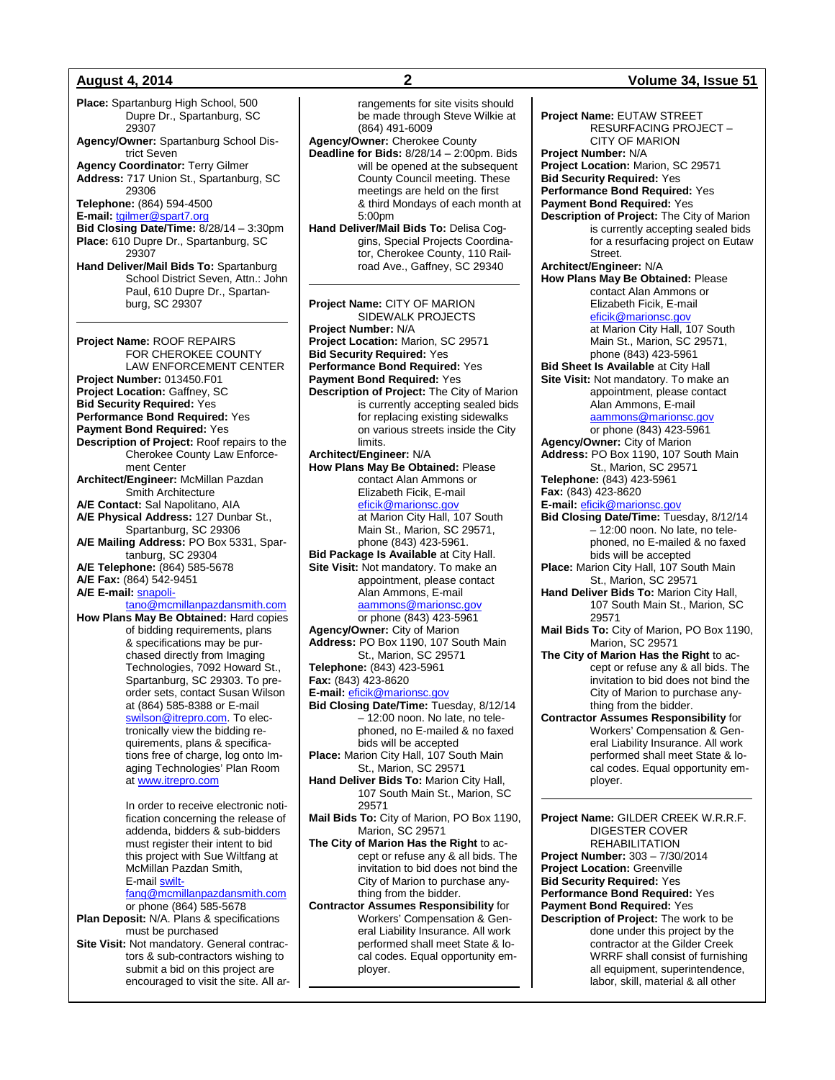**Place:** Spartanburg High School, 500 Dupre Dr., Spartanburg, SC 29307 **Agency/Owner:** Spartanburg School District Seven **Agency Coordinator:** Terry Gilmer **Address:** 717 Union St., Spartanburg, SC 29306 **Telephone:** (864) 594-4500 **E-mail:** [tgilmer@spart7.org](mailto:tgilmer@spart7.org) **Bid Closing Date/Time:** 8/28/14 – 3:30pm **Place:** 610 Dupre Dr., Spartanburg, SC 29307 **Hand Deliver/Mail Bids To:** Spartanburg School District Seven, Attn.: John Paul, 610 Dupre Dr., Spartanburg, SC 29307 **Project Name:** ROOF REPAIRS FOR CHEROKEE COUNTY LAW ENFORCEMENT CENTER **Project Number:** 013450.F01 **Project Location:** Gaffney, SC **Bid Security Required:** Yes **Performance Bond Required:** Yes **Payment Bond Required:** Yes **Description of Project:** Roof repairs to the Cherokee County Law Enforcement Center **Architect/Engineer:** McMillan Pazdan Smith Architecture **A/E Contact:** Sal Napolitano, AIA **A/E Physical Address:** 127 Dunbar St., Spartanburg, SC 29306 **A/E Mailing Address:** PO Box 5331, Spartanburg, SC 29304 **A/E Telephone:** (864) 585-5678 **A/E Fax:** (864) 542-9451 A/E E-mail: **[snapoli](mailto:snapolitano@mcmillanpazdansmith.com)**[tano@mcmillanpazdansmith.com](mailto:snapolitano@mcmillanpazdansmith.com) **How Plans May Be Obtained:** Hard copies

of bidding requirements, plans & specifications may be purchased directly from Imaging Technologies, 7092 Howard St., Spartanburg, SC 29303. To preorder sets, contact Susan Wilson at (864) 585-8388 or E-mail swilson@itrepro.com</u>. To electronically view the bidding requirements, plans & specifications free of charge, log onto Imaging Technologies' Plan Room at [www.itrepro.com](http://www.itrepro.com/)

> In order to receive electronic notification concerning the release of addenda, bidders & sub-bidders must register their intent to bid this project with Sue Wiltfang at McMillan Pazdan Smith, E-mail [swilt-](mailto:swiltfang@mcmillanpazdansmith.com)

> [fang@mcmillanpazdansmith.com](mailto:swiltfang@mcmillanpazdansmith.com)

or phone (864) 585-5678 **Plan Deposit:** N/A. Plans & specifications must be purchased

**Site Visit:** Not mandatory. General contractors & sub-contractors wishing to submit a bid on this project are encouraged to visit the site. All ar-

**August 4, 2014 2 Volume 34, Issue 51** rangements for site visits should be made through Steve Wilkie at (864) 491-6009 **Agency/Owner:** Cherokee County **Deadline for Bids:** 8/28/14 – 2:00pm. Bids will be opened at the subsequent County Council meeting. These meetings are held on the first & third Mondays of each month at 5:00pm **Hand Deliver/Mail Bids To:** Delisa Coggins, Special Projects Coordinator, Cherokee County, 110 Railroad Ave., Gaffney, SC 29340 **Project Name:** CITY OF MARION SIDEWALK PROJECTS **Project Number:** N/A **Project Location:** Marion, SC 29571 **Bid Security Required:** Yes **Performance Bond Required:** Yes **Payment Bond Required:** Yes **Description of Project:** The City of Marion is currently accepting sealed bids for replacing existing sidewalks on various streets inside the City limits. **Architect/Engineer:** N/A **How Plans May Be Obtained:** Please contact Alan Ammons or Elizabeth Ficik, E-mail [eficik@marionsc.gov](mailto:eficik@marionsc.gov) at Marion City Hall, 107 South Main St., Marion, SC 29571, phone (843) 423-5961. **Bid Package Is Available** at City Hall. **Site Visit:** Not mandatory. To make an appointment, please contact Alan Ammons, E-mail [aammons@marionsc.gov](mailto:aammons@marionsc.gov) or phone (843) 423-5961 **Agency/Owner:** City of Marion

**Address:** PO Box 1190, 107 South Main St., Marion, SC 29571 **Telephone:** (843) 423-5961 **Fax:** (843) 423-8620

**E-mail:** [eficik@marionsc.gov](mailto:eficik@marionsc.gov)

**Bid Closing Date/Time:** Tuesday, 8/12/14 – 12:00 noon. No late, no telephoned, no E-mailed & no faxed bids will be accepted **Place:** Marion City Hall, 107 South Main

St., Marion, SC 29571 **Hand Deliver Bids To:** Marion City Hall,

107 South Main St., Marion, SC 29571

**Mail Bids To:** City of Marion, PO Box 1190, Marion, SC 29571

**The City of Marion Has the Right** to accept or refuse any & all bids. The invitation to bid does not bind the City of Marion to purchase anything from the bidder.

**Contractor Assumes Responsibility** for Workers' Compensation & General Liability Insurance. All work performed shall meet State & local codes. Equal opportunity employer.

**Project Name:** EUTAW STREET RESURFACING PROJECT – CITY OF MARION **Project Number:** N/A **Project Location:** Marion, SC 29571 **Bid Security Required:** Yes **Performance Bond Required:** Yes **Payment Bond Required:** Yes **Description of Project:** The City of Marion is currently accepting sealed bids for a resurfacing project on Eutaw Street. **Architect/Engineer:** N/A **How Plans May Be Obtained:** Please contact Alan Ammons or Elizabeth Ficik, E-mail [eficik@marionsc.gov](mailto:eficik@marionsc.gov) at Marion City Hall, 107 South Main St., Marion, SC 29571, phone (843) 423-5961 **Bid Sheet Is Available** at City Hall **Site Visit:** Not mandatory. To make an appointment, please contact Alan Ammons, E-mail [aammons@marionsc.gov](mailto:aammons@marionsc.gov) or phone (843) 423-5961 **Agency/Owner:** City of Marion **Address:** PO Box 1190, 107 South Main St., Marion, SC 29571 **Telephone:** (843) 423-5961 **Fax:** (843) 423-8620 **E-mail:** [eficik@marionsc.gov](mailto:eficik@marionsc.gov) **Bid Closing Date/Time:** Tuesday, 8/12/14 – 12:00 noon. No late, no telephoned, no E-mailed & no faxed bids will be accepted **Place:** Marion City Hall, 107 South Main St., Marion, SC 29571 **Hand Deliver Bids To:** Marion City Hall, 107 South Main St., Marion, SC 29571 **Mail Bids To:** City of Marion, PO Box 1190, Marion, SC 29571 **The City of Marion Has the Right** to accept or refuse any & all bids. The invitation to bid does not bind the City of Marion to purchase anything from the bidder. **Contractor Assumes Responsibility** for Workers' Compensation & General Liability Insurance. All work performed shall meet State & local codes. Equal opportunity employer. **Project Name:** GILDER CREEK W.R.R.F. DIGESTER COVER REHABILITATION **Project Number:** 303 – 7/30/2014 **Project Location:** Greenville **Bid Security Required:** Yes **Performance Bond Required:** Yes **Payment Bond Required:** Yes

**Description of Project:** The work to be done under this project by the contractor at the Gilder Creek WRRF shall consist of furnishing all equipment, superintendence, labor, skill, material & all other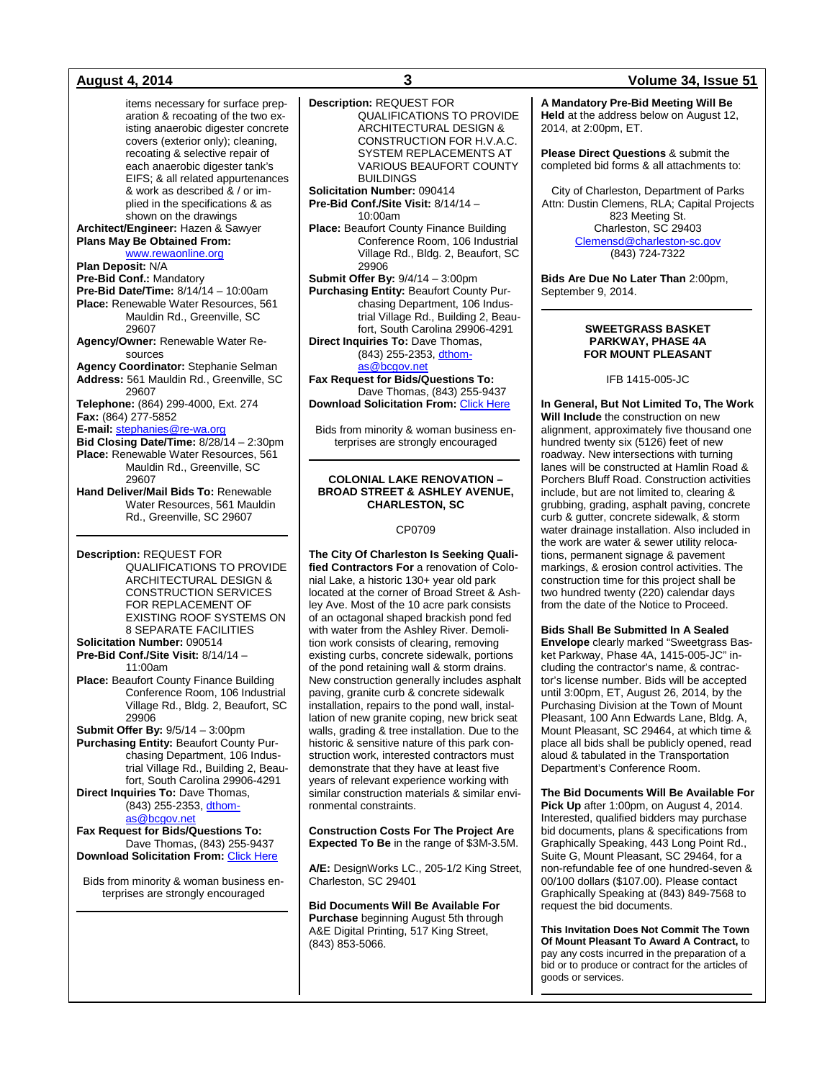items necessary for surface preparation & recoating of the two existing anaerobic digester concrete covers (exterior only); cleaning, recoating & selective repair of each anaerobic digester tank's EIFS; & all related appurtenances & work as described & / or implied in the specifications & as shown on the drawings **Architect/Engineer:** Hazen & Sawyer **Plans May Be Obtained From:** [www.rewaonline.org](http://www.rewaonline.org/) **Plan Deposit:** N/A **Pre-Bid Conf.:** Mandatory **Pre-Bid Date/Time:** 8/14/14 – 10:00am **Place:** Renewable Water Resources, 561 Mauldin Rd., Greenville, SC 29607 **Agency/Owner:** Renewable Water Resources **Agency Coordinator:** Stephanie Selman **Address:** 561 Mauldin Rd., Greenville, SC 29607 **Telephone:** (864) 299-4000, Ext. 274 **Fax:** (864) 277-5852 **E-mail:** [stephanies@re-wa.org](mailto:stephanies@re-wa.org) **Bid Closing Date/Time:** 8/28/14 – 2:30pm **Place:** Renewable Water Resources, 561 Mauldin Rd., Greenville, SC 29607 **Hand Deliver/Mail Bids To:** Renewable Water Resources, 561 Mauldin Rd., Greenville, SC 29607

**Description:** REQUEST FOR QUALIFICATIONS TO PROVIDE ARCHITECTURAL DESIGN & CONSTRUCTION SERVICES FOR REPLACEMENT OF EXISTING ROOF SYSTEMS ON 8 SEPARATE FACILITIES **Solicitation Number:** 090514

**Pre-Bid Conf./Site Visit:** 8/14/14 – 11:00am **Place:** Beaufort County Finance Building Conference Room, 106 Industrial

Village Rd., Bldg. 2, Beaufort, SC 29906 **Submit Offer By:** 9/5/14 – 3:00pm **Purchasing Entity:** Beaufort County Purchasing Department, 106 Industrial Village Rd., Building 2, Beau-

fort, South Carolina 29906-4291 **Direct Inquiries To:** Dave Thomas, (843) 255-2353[, dthom-](mailto:dthomas@bcgov.net)

## [as@bcgov.net](mailto:dthomas@bcgov.net)

**Fax Request for Bids/Questions To:** Dave Thomas, (843) 255-9437 **Download Solicitation From: [Click Here](http://www.co.beaufort.sc.us/departments/Finance/purchasing/current-bids-pop.php)** 

Bids from minority & woman business enterprises are strongly encouraged

**Description:** REQUEST FOR QUALIFICATIONS TO PROVIDE ARCHITECTURAL DESIGN & CONSTRUCTION FOR H.V.A.C. SYSTEM REPLACEMENTS AT VARIOUS BEAUFORT COUNTY BUILDINGS

**Solicitation Number:** 090414 **Pre-Bid Conf./Site Visit:** 8/14/14 – 10:00am

**Place:** Beaufort County Finance Building Conference Room, 106 Industrial Village Rd., Bldg. 2, Beaufort, SC 29906

**Submit Offer By:** 9/4/14 – 3:00pm **Purchasing Entity:** Beaufort County Purchasing Department, 106 Industrial Village Rd., Building 2, Beaufort, South Carolina 29906-4291 **Direct Inquiries To:** Dave Thomas, (843) 255-2353[, dthom-](mailto:dthomas@bcgov.net)

[as@bcgov.net](mailto:dthomas@bcgov.net)

**Fax Request for Bids/Questions To:** Dave Thomas, (843) 255-9437 **Download Solicitation From:** [Click Here](http://www.co.beaufort.sc.us/departments/Finance/purchasing/current-bids-pop.php)

Bids from minority & woman business enterprises are strongly encouraged

#### **COLONIAL LAKE RENOVATION – BROAD STREET & ASHLEY AVENUE, CHARLESTON, SC**

#### CP0709

**The City Of Charleston Is Seeking Qualified Contractors For** a renovation of Colonial Lake, a historic 130+ year old park located at the corner of Broad Street & Ashley Ave. Most of the 10 acre park consists of an octagonal shaped brackish pond fed with water from the Ashley River. Demolition work consists of clearing, removing existing curbs, concrete sidewalk, portions of the pond retaining wall & storm drains. New construction generally includes asphalt paving, granite curb & concrete sidewalk installation, repairs to the pond wall, installation of new granite coping, new brick seat walls, grading & tree installation. Due to the historic & sensitive nature of this park construction work, interested contractors must demonstrate that they have at least five years of relevant experience working with similar construction materials & similar environmental constraints.

**Construction Costs For The Project Are Expected To Be** in the range of \$3M-3.5M.

**A/E:** DesignWorks LC., 205-1/2 King Street, Charleston, SC 29401

**Bid Documents Will Be Available For Purchase** beginning August 5th through A&E Digital Printing, 517 King Street, (843) 853-5066.

### **August 4, 2014 3 Volume 34, Issue 51**

**A Mandatory Pre-Bid Meeting Will Be Held** at the address below on August 12, 2014, at 2:00pm, ET.

**Please Direct Questions** & submit the completed bid forms & all attachments to:

City of Charleston, Department of Parks Attn: Dustin Clemens, RLA; Capital Projects 823 Meeting St. Charleston, SC 29403 [Clemensd@charleston-sc.gov](mailto:Clemensd@charleston-sc.gov) (843) 724-7322

**Bids Are Due No Later Than** 2:00pm, September 9, 2014.

### **SWEETGRASS BASKET PARKWAY, PHASE 4A FOR MOUNT PLEASANT**

IFB 1415-005-JC

**In General, But Not Limited To, The Work Will Include** the construction on new alignment, approximately five thousand one hundred twenty six (5126) feet of new roadway. New intersections with turning lanes will be constructed at Hamlin Road & Porchers Bluff Road. Construction activities include, but are not limited to, clearing & grubbing, grading, asphalt paving, concrete curb & gutter, concrete sidewalk, & storm water drainage installation. Also included in the work are water & sewer utility relocations, permanent signage & pavement markings, & erosion control activities. The construction time for this project shall be two hundred twenty (220) calendar days from the date of the Notice to Proceed.

**Bids Shall Be Submitted In A Sealed Envelope** clearly marked "Sweetgrass Basket Parkway, Phase 4A, 1415-005-JC" including the contractor's name, & contractor's license number. Bids will be accepted until 3:00pm, ET, August 26, 2014, by the Purchasing Division at the Town of Mount Pleasant, 100 Ann Edwards Lane, Bldg. A, Mount Pleasant, SC 29464, at which time & place all bids shall be publicly opened, read aloud & tabulated in the Transportation Department's Conference Room.

**The Bid Documents Will Be Available For Pick Up** after 1:00pm, on August 4, 2014. Interested, qualified bidders may purchase bid documents, plans & specifications from Graphically Speaking, 443 Long Point Rd., Suite G, Mount Pleasant, SC 29464, for a non-refundable fee of one hundred-seven & 00/100 dollars (\$107.00). Please contact Graphically Speaking at (843) 849-7568 to request the bid documents.

**This Invitation Does Not Commit The Town Of Mount Pleasant To Award A Contract,** to pay any costs incurred in the preparation of a bid or to produce or contract for the articles of goods or services.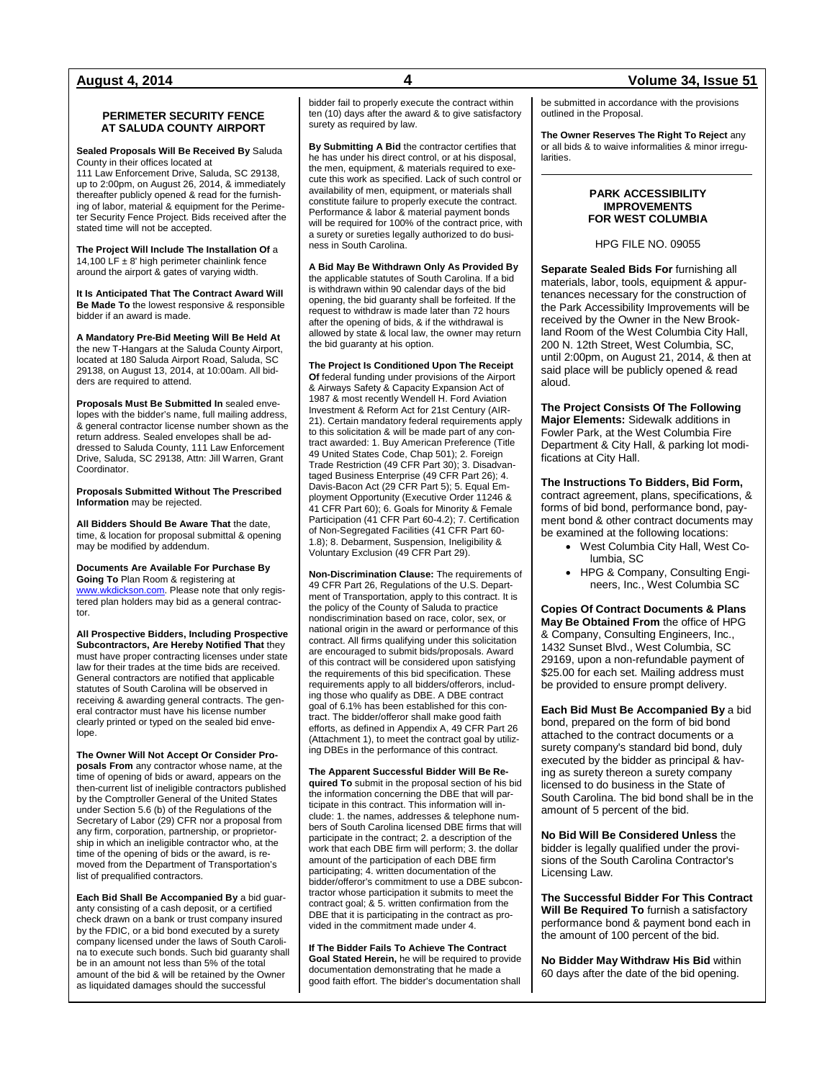#### **PERIMETER SECURITY FENCE AT SALUDA COUNTY AIRPORT**

**Sealed Proposals Will Be Received By** Saluda County in their offices located at

111 Law Enforcement Drive, Saluda, SC 29138, up to 2:00pm, on August 26, 2014, & immediately thereafter publicly opened & read for the furnishing of labor, material & equipment for the Perimeter Security Fence Project. Bids received after the stated time will not be accepted.

**The Project Will Include The Installation Of** a 14,100 LF  $\pm$  8' high perimeter chainlink fence around the airport & gates of varying width.

**It Is Anticipated That The Contract Award Will Be Made To** the lowest responsive & responsible bidder if an award is made.

**A Mandatory Pre-Bid Meeting Will Be Held At**  the new T-Hangars at the Saluda County Airport, located at 180 Saluda Airport Road, Saluda, SC 29138, on August 13, 2014, at 10:00am. All bidders are required to attend.

**Proposals Must Be Submitted In** sealed envelopes with the bidder's name, full mailing address, & general contractor license number shown as the return address. Sealed envelopes shall be addressed to Saluda County, 111 Law Enforcement Drive, Saluda, SC 29138, Attn: Jill Warren, Grant Coordinator.

**Proposals Submitted Without The Prescribed Information** may be rejected.

**All Bidders Should Be Aware That** the date, time, & location for proposal submittal & opening may be modified by addendum.

**Documents Are Available For Purchase By Going To** Plan Room & registering at [www.wkdickson.com.](http://www.wkdickson.com/) Please note that only registered plan holders may bid as a general contractor.

**All Prospective Bidders, Including Prospective Subcontractors, Are Hereby Notified That** they must have proper contracting licenses under state law for their trades at the time bids are received. General contractors are notified that applicable statutes of South Carolina will be observed in receiving & awarding general contracts. The general contractor must have his license number clearly printed or typed on the sealed bid envelope.

**The Owner Will Not Accept Or Consider Proposals From** any contractor whose name, at the time of opening of bids or award, appears on the then-current list of ineligible contractors published by the Comptroller General of the United States under Section 5.6 (b) of the Regulations of the Secretary of Labor (29) CFR nor a proposal from any firm, corporation, partnership, or proprietorship in which an ineligible contractor who, at the time of the opening of bids or the award, is removed from the Department of Transportation's list of prequalified contractors.

**Each Bid Shall Be Accompanied By** a bid guaranty consisting of a cash deposit, or a certified check drawn on a bank or trust company insured by the FDIC, or a bid bond executed by a surety company licensed under the laws of South Carolina to execute such bonds. Such bid guaranty shall be in an amount not less than 5% of the total amount of the bid & will be retained by the Owner as liquidated damages should the successful

bidder fail to properly execute the contract within ten (10) days after the award & to give satisfactory surety as required by law.

**By Submitting A Bid** the contractor certifies that he has under his direct control, or at his disposal, the men, equipment, & materials required to execute this work as specified. Lack of such control or availability of men, equipment, or materials shall constitute failure to properly execute the contract. Performance & labor & material payment bonds will be required for 100% of the contract price, with a surety or sureties legally authorized to do business in South Carolina.

**A Bid May Be Withdrawn Only As Provided By**  the applicable statutes of South Carolina. If a bid is withdrawn within 90 calendar days of the bid opening, the bid guaranty shall be forfeited. If the request to withdraw is made later than 72 hours after the opening of bids, & if the withdrawal is allowed by state & local law, the owner may return the bid guaranty at his option.

**The Project Is Conditioned Upon The Receipt Of** federal funding under provisions of the Airport & Airways Safety & Capacity Expansion Act of 1987 & most recently Wendell H. Ford Aviation Investment & Reform Act for 21st Century (AIR-21). Certain mandatory federal requirements apply to this solicitation & will be made part of any contract awarded: 1. Buy American Preference (Title 49 United States Code, Chap 501); 2. Foreign Trade Restriction (49 CFR Part 30); 3. Disadvantaged Business Enterprise (49 CFR Part 26); 4. Davis-Bacon Act (29 CFR Part 5); 5. Equal Employment Opportunity (Executive Order 11246 & 41 CFR Part 60); 6. Goals for Minority & Female Participation (41 CFR Part 60-4.2); 7. Certification of Non-Segregated Facilities (41 CFR Part 60- 1.8); 8. Debarment, Suspension, Ineligibility & Voluntary Exclusion (49 CFR Part 29).

**Non-Discrimination Clause:** The requirements of 49 CFR Part 26, Regulations of the U.S. Department of Transportation, apply to this contract. It is the policy of the County of Saluda to practice nondiscrimination based on race, color, sex, or national origin in the award or performance of this contract. All firms qualifying under this solicitation are encouraged to submit bids/proposals. Award of this contract will be considered upon satisfying the requirements of this bid specification. These requirements apply to all bidders/offerors, including those who qualify as DBE. A DBE contract goal of 6.1% has been established for this contract. The bidder/offeror shall make good faith efforts, as defined in Appendix A, 49 CFR Part 26 (Attachment 1), to meet the contract goal by utilizing DBEs in the performance of this contract.

**The Apparent Successful Bidder Will Be Required To** submit in the proposal section of his bid the information concerning the DBE that will participate in this contract. This information will include: 1. the names, addresses & telephone numbers of South Carolina licensed DBE firms that will participate in the contract; 2. a description of the work that each DBE firm will perform; 3. the dollar amount of the participation of each DBE firm participating; 4. written documentation of the bidder/offeror's commitment to use a DBE subcontractor whose participation it submits to meet the contract goal; & 5. written confirmation from the DBE that it is participating in the contract as provided in the commitment made under 4.

**If The Bidder Fails To Achieve The Contract Goal Stated Herein,** he will be required to provide documentation demonstrating that he made a good faith effort. The bidder's documentation shall

be submitted in accordance with the provisions outlined in the Proposal.

**The Owner Reserves The Right To Reject** any or all bids & to waive informalities & minor irregularities.

#### **PARK ACCESSIBILITY IMPROVEMENTS FOR WEST COLUMBIA**

HPG FILE NO. 09055

**Separate Sealed Bids For** furnishing all materials, labor, tools, equipment & appurtenances necessary for the construction of the Park Accessibility Improvements will be received by the Owner in the New Brookland Room of the West Columbia City Hall, 200 N. 12th Street, West Columbia, SC, until 2:00pm, on August 21, 2014, & then at said place will be publicly opened & read aloud.

**The Project Consists Of The Following Major Elements:** Sidewalk additions in Fowler Park, at the West Columbia Fire Department & City Hall, & parking lot modifications at City Hall.

**The Instructions To Bidders, Bid Form,**

contract agreement, plans, specifications, & forms of bid bond, performance bond, payment bond & other contract documents may be examined at the following locations:

- West Columbia City Hall, West Columbia, SC
- HPG & Company, Consulting Engineers, Inc., West Columbia SC

**Copies Of Contract Documents & Plans May Be Obtained From** the office of HPG & Company, Consulting Engineers, Inc., 1432 Sunset Blvd., West Columbia, SC 29169, upon a non-refundable payment of \$25.00 for each set. Mailing address must be provided to ensure prompt delivery.

**Each Bid Must Be Accompanied By** a bid bond, prepared on the form of bid bond attached to the contract documents or a surety company's standard bid bond, duly executed by the bidder as principal & having as surety thereon a surety company licensed to do business in the State of South Carolina. The bid bond shall be in the amount of 5 percent of the bid.

**No Bid Will Be Considered Unless** the bidder is legally qualified under the provisions of the South Carolina Contractor's Licensing Law.

**The Successful Bidder For This Contract Will Be Required To** furnish a satisfactory performance bond & payment bond each in the amount of 100 percent of the bid.

**No Bidder May Withdraw His Bid** within 60 days after the date of the bid opening.

### **August 4, 2014 4 Volume 34, Issue 51**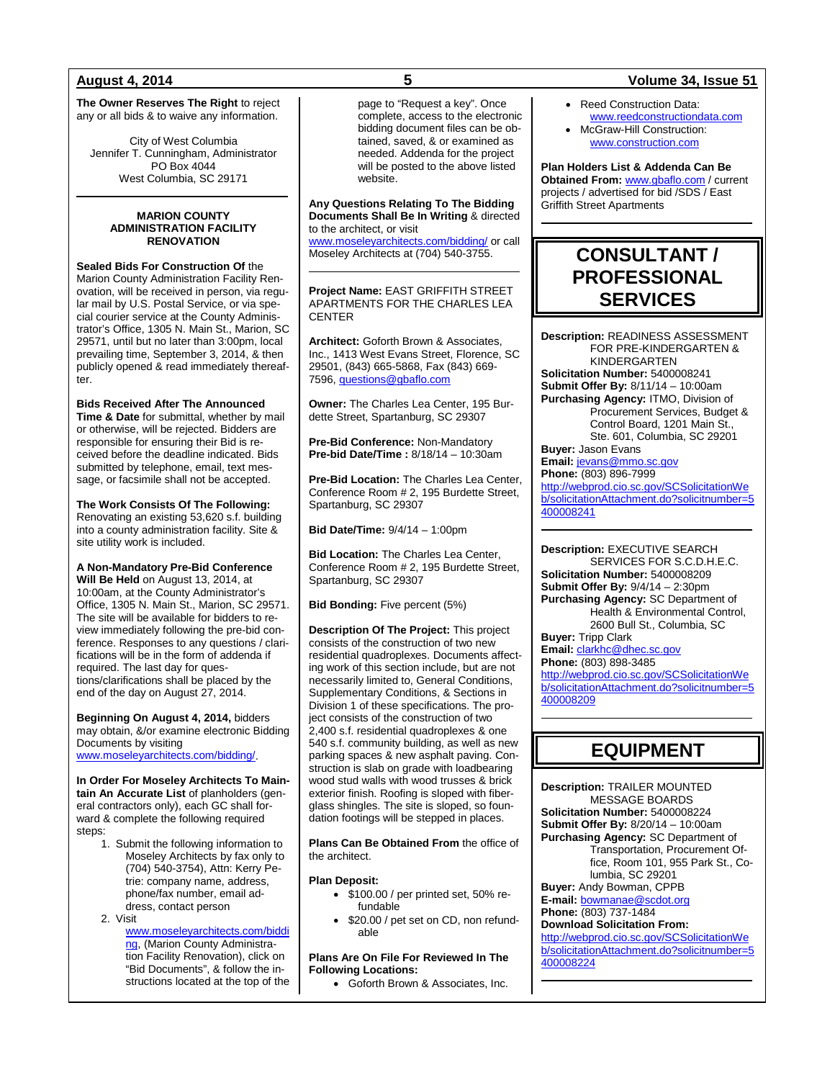**The Owner Reserves The Right** to reject any or all bids & to waive any information.

City of West Columbia Jennifer T. Cunningham, Administrator PO Box 4044 West Columbia, SC 29171

#### **MARION COUNTY ADMINISTRATION FACILITY RENOVATION**

**Sealed Bids For Construction Of** the Marion County Administration Facility Renovation, will be received in person, via regular mail by U.S. Postal Service, or via special courier service at the County Administrator's Office, 1305 N. Main St., Marion, SC 29571, until but no later than 3:00pm, local prevailing time, September 3, 2014, & then publicly opened & read immediately thereafter.

**Bids Received After The Announced Time & Date** for submittal, whether by mail or otherwise, will be rejected. Bidders are responsible for ensuring their Bid is received before the deadline indicated. Bids submitted by telephone, email, text message, or facsimile shall not be accepted.

**The Work Consists Of The Following:** Renovating an existing 53,620 s.f. building into a county administration facility. Site & site utility work is included.

**A Non-Mandatory Pre-Bid Conference Will Be Held** on August 13, 2014, at 10:00am, at the County Administrator's Office, 1305 N. Main St., Marion, SC 29571. The site will be available for bidders to review immediately following the pre-bid conference. Responses to any questions / clarifications will be in the form of addenda if required. The last day for questions/clarifications shall be placed by the end of the day on August 27, 2014.

**Beginning On August 4, 2014,** bidders may obtain, &/or examine electronic Bidding Documents by visiting [www.moseleyarchitects.com/bidding/.](http://www.moseleyarchitects.com/bidding/)

**In Order For Moseley Architects To Maintain An Accurate List** of planholders (general contractors only), each GC shall forward & complete the following required steps:

> 1. Submit the following information to Moseley Architects by fax only to (704) 540-3754), Attn: Kerry Petrie: company name, address, phone/fax number, email address, contact person 2. Visit

[www.moseleyarchitects.com/biddi](http://www.moseleyarchitects.com/bidding) [ng,](http://www.moseleyarchitects.com/bidding) (Marion County Administration Facility Renovation), click on "Bid Documents", & follow the instructions located at the top of the

page to "Request a key". Once complete, access to the electronic bidding document files can be obtained, saved, & or examined as needed. Addenda for the project will be posted to the above listed website.

**Any Questions Relating To The Bidding Documents Shall Be In Writing** & directed to the architect, or visit

[www.moseleyarchitects.com/bidding/](http://www.moseleyarchitects.com/bidding/) or call Moseley Architects at (704) 540-3755.

**Project Name:** EAST GRIFFITH STREET APARTMENTS FOR THE CHARLES LEA **CENTER** 

**Architect:** Goforth Brown & Associates, Inc., 1413 West Evans Street, Florence, SC 29501, (843) 665-5868, Fax (843) 669- 7596[, questions@gbaflo.com](mailto:questions@gbaflo.com)

**Owner:** The Charles Lea Center, 195 Burdette Street, Spartanburg, SC 29307

**Pre-Bid Conference:** Non-Mandatory **Pre-bid Date/Time :** 8/18/14 – 10:30am

**Pre-Bid Location:** The Charles Lea Center, Conference Room # 2, 195 Burdette Street, Spartanburg, SC 29307

**Bid Date/Time:** 9/4/14 – 1:00pm

**Bid Location:** The Charles Lea Center, Conference Room # 2, 195 Burdette Street, Spartanburg, SC 29307

**Bid Bonding:** Five percent (5%)

**Description Of The Project:** This project consists of the construction of two new residential quadroplexes. Documents affecting work of this section include, but are not necessarily limited to, General Conditions, Supplementary Conditions, & Sections in Division 1 of these specifications. The project consists of the construction of two 2,400 s.f. residential quadroplexes & one 540 s.f. community building, as well as new parking spaces & new asphalt paving. Construction is slab on grade with loadbearing wood stud walls with wood trusses & brick exterior finish. Roofing is sloped with fiberglass shingles. The site is sloped, so foundation footings will be stepped in places.

**Plans Can Be Obtained From** the office of the architect.

### **Plan Deposit:**

- \$100.00 / per printed set, 50% refundable
- \$20.00 / pet set on CD, non refundable

**Plans Are On File For Reviewed In The Following Locations:**

• Goforth Brown & Associates, Inc.

### **August 4, 2014 5 Volume 34, Issue 51**

- Reed Construction Data: [www.reedconstructiondata.com](http://www.reedconstructiondata.com/)
- McGraw-Hill Construction: [www.construction.com](http://www.construction.com/)

**Plan Holders List & Addenda Can Be Obtained From:** [www.gbaflo.com](http://www.gbaflo.com/) / current projects / advertised for bid /SDS / East Griffith Street Apartments

## **CONSULTANT / PROFESSIONAL SERVICES**

**Description:** READINESS ASSESSMENT FOR PRE-KINDERGARTEN & KINDERGARTEN **Solicitation Number:** 5400008241 **Submit Offer By:** 8/11/14 – 10:00am **Purchasing Agency:** ITMO, Division of Procurement Services, Budget & Control Board, 1201 Main St., Ste. 601, Columbia, SC 29201 **Buyer:** Jason Evans **Email:** [jevans@mmo.sc.gov](mailto:jevans@mmo.sc.gov)

**Phone:** (803) 896-7999 [http://webprod.cio.sc.gov/SCSolicitationWe](http://webprod.cio.sc.gov/SCSolicitationWeb/solicitationAttachment.do?solicitnumber=5400008241) [b/solicitationAttachment.do?solicitnumber=5](http://webprod.cio.sc.gov/SCSolicitationWeb/solicitationAttachment.do?solicitnumber=5400008241) [400008241](http://webprod.cio.sc.gov/SCSolicitationWeb/solicitationAttachment.do?solicitnumber=5400008241)

**Description:** EXECUTIVE SEARCH SERVICES FOR S.C.D.H.E.C. **Solicitation Number:** 5400008209 **Submit Offer By:** 9/4/14 – 2:30pm **Purchasing Agency:** SC Department of Health & Environmental Control, 2600 Bull St., Columbia, SC **Buyer:** Tripp Clark Email: [clarkhc@dhec.sc.gov](mailto:clarkhc@dhec.sc.gov) **Phone:** (803) 898-3485 [http://webprod.cio.sc.gov/SCSolicitationWe](http://webprod.cio.sc.gov/SCSolicitationWeb/solicitationAttachment.do?solicitnumber=5400008209) [b/solicitationAttachment.do?solicitnumber=5](http://webprod.cio.sc.gov/SCSolicitationWeb/solicitationAttachment.do?solicitnumber=5400008209) [400008209](http://webprod.cio.sc.gov/SCSolicitationWeb/solicitationAttachment.do?solicitnumber=5400008209)

## **EQUIPMENT**

**Description:** TRAILER MOUNTED MESSAGE BOARDS **Solicitation Number:** 5400008224 **Submit Offer By:** 8/20/14 – 10:00am **Purchasing Agency:** SC Department of Transportation, Procurement Office, Room 101, 955 Park St., Columbia, SC 29201 **Buyer:** Andy Bowman, CPPB **E-mail:** [bowmanae@scdot.org](mailto:bowmanae@scdot.org) **Phone:** (803) 737-1484 **Download Solicitation From:** [http://webprod.cio.sc.gov/SCSolicitationWe](http://webprod.cio.sc.gov/SCSolicitationWeb/solicitationAttachment.do?solicitnumber=5400008224) [b/solicitationAttachment.do?solicitnumber=5](http://webprod.cio.sc.gov/SCSolicitationWeb/solicitationAttachment.do?solicitnumber=5400008224) [400008224](http://webprod.cio.sc.gov/SCSolicitationWeb/solicitationAttachment.do?solicitnumber=5400008224)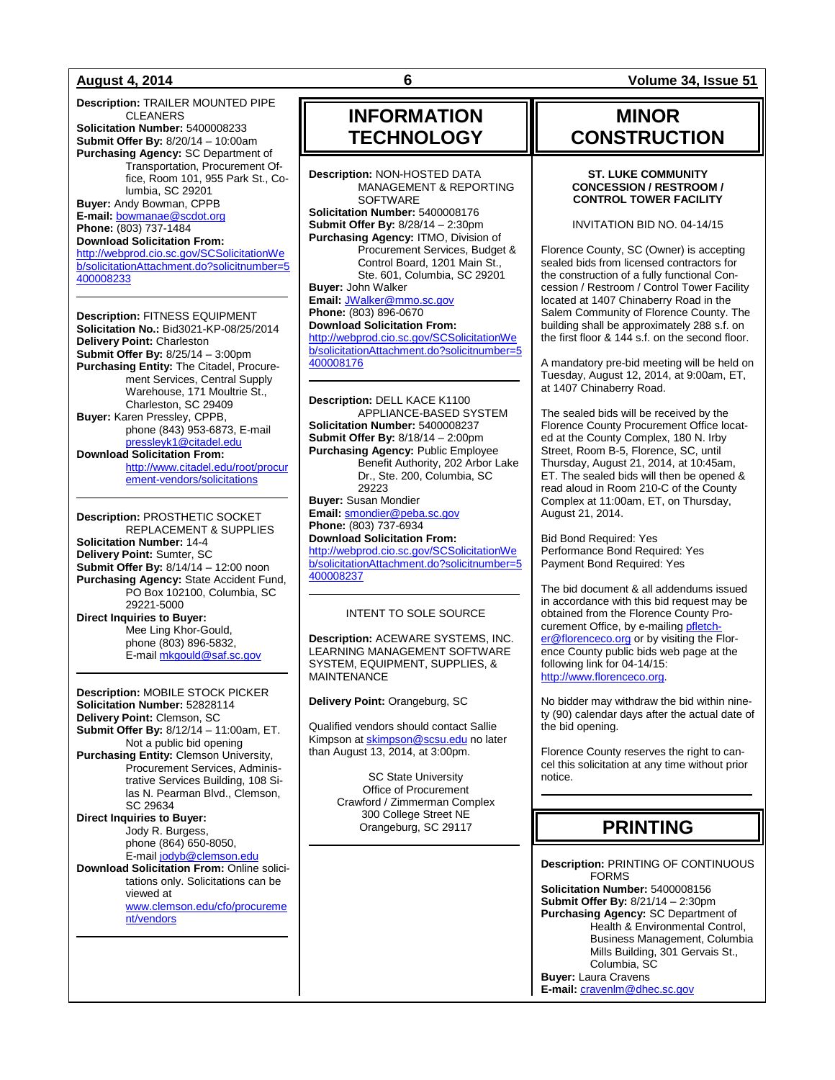**Description:** TRAILER MOUNTED PIPE CLEANERS **Solicitation Number:** 5400008233 **Submit Offer By:** 8/20/14 – 10:00am **Purchasing Agency:** SC Department of Transportation, Procurement Office, Room 101, 955 Park St., Columbia, SC 29201 **Buyer:** Andy Bowman, CPPB **E-mail:** [bowmanae@scdot.org](mailto:bowmanae@scdot.org) **Phone:** (803) 737-1484 **Download Solicitation From:**

[http://webprod.cio.sc.gov/SCSolicitationWe](http://webprod.cio.sc.gov/SCSolicitationWeb/solicitationAttachment.do?solicitnumber=5400008233) [b/solicitationAttachment.do?solicitnumber=5](http://webprod.cio.sc.gov/SCSolicitationWeb/solicitationAttachment.do?solicitnumber=5400008233) [400008233](http://webprod.cio.sc.gov/SCSolicitationWeb/solicitationAttachment.do?solicitnumber=5400008233)

**Description:** FITNESS EQUIPMENT **Solicitation No.:** Bid3021-KP-08/25/2014 **Delivery Point:** Charleston **Submit Offer By:** 8/25/14 – 3:00pm **Purchasing Entity:** The Citadel, Procurement Services, Central Supply Warehouse, 171 Moultrie St., Charleston, SC 29409 **Buyer:** Karen Pressley, CPPB, phone (843) 953-6873, E-mail [pressleyk1@citadel.edu](mailto:pressleyk1@citadel.edu) **Download Solicitation From:** 

[http://www.citadel.edu/root/procur](http://www.citadel.edu/root/procurement-vendors/solicitations) [ement-vendors/solicitations](http://www.citadel.edu/root/procurement-vendors/solicitations)

**Description:** PROSTHETIC SOCKET REPLACEMENT & SUPPLIES **Solicitation Number:** 14-4 **Delivery Point:** Sumter, SC **Submit Offer By:** 8/14/14 – 12:00 noon **Purchasing Agency:** State Accident Fund, PO Box 102100, Columbia, SC 29221-5000 **Direct Inquiries to Buyer:** Mee Ling Khor-Gould, phone (803) 896-5832, E-mail [mkgould@saf.sc.gov](mailto:mkgould@saf.sc.gov)

**Description:** MOBILE STOCK PICKER **Solicitation Number:** 52828114 **Delivery Point:** Clemson, SC **Submit Offer By:** 8/12/14 – 11:00am, ET. Not a public bid opening **Purchasing Entity:** Clemson University, Procurement Services, Administrative Services Building, 108 Silas N. Pearman Blvd., Clemson, SC 29634 **Direct Inquiries to Buyer:** Jody R. Burgess, phone (864) 650-8050, E-mail [jodyb@clemson.edu](mailto:jodyb@clemson.edu) **Download Solicitation From:** Online solicitations only. Solicitations can be viewed at

[www.clemson.edu/cfo/procureme](http://www.clemson.edu/cfo/procurement/vendors) [nt/vendors](http://www.clemson.edu/cfo/procurement/vendors)

## **INFORMATION TECHNOLOGY**

**Description:** NON-HOSTED DATA MANAGEMENT & REPORTING **SOFTWARE Solicitation Number:** 5400008176 **Submit Offer By:** 8/28/14 – 2:30pm **Purchasing Agency:** ITMO, Division of Procurement Services, Budget & Control Board, 1201 Main St., Ste. 601, Columbia, SC 29201 **Buyer:** John Walker **Email:** [JWalker@mmo.sc.gov](mailto:JWalker@mmo.sc.gov) **Phone:** (803) 896-0670 **Download Solicitation From:** [http://webprod.cio.sc.gov/SCSolicitationWe](http://webprod.cio.sc.gov/SCSolicitationWeb/solicitationAttachment.do?solicitnumber=5400008176) [b/solicitationAttachment.do?solicitnumber=5](http://webprod.cio.sc.gov/SCSolicitationWeb/solicitationAttachment.do?solicitnumber=5400008176)

[400008176](http://webprod.cio.sc.gov/SCSolicitationWeb/solicitationAttachment.do?solicitnumber=5400008176)

**Description:** DELL KACE K1100 APPLIANCE-BASED SYSTEM **Solicitation Number:** 5400008237 **Submit Offer By:** 8/18/14 – 2:00pm **Purchasing Agency:** Public Employee Benefit Authority, 202 Arbor Lake Dr., Ste. 200, Columbia, SC 29223 **Buyer:** Susan Mondier **Email:** [smondier@peba.sc.gov](mailto:smondier@peba.sc.gov) **Phone:** (803) 737-6934 **Download Solicitation From:** [http://webprod.cio.sc.gov/SCSolicitationWe](http://webprod.cio.sc.gov/SCSolicitationWeb/solicitationAttachment.do?solicitnumber=5400008237)

[b/solicitationAttachment.do?solicitnumber=5](http://webprod.cio.sc.gov/SCSolicitationWeb/solicitationAttachment.do?solicitnumber=5400008237) [400008237](http://webprod.cio.sc.gov/SCSolicitationWeb/solicitationAttachment.do?solicitnumber=5400008237)

### INTENT TO SOLE SOURCE

**Description:** ACEWARE SYSTEMS, INC. LEARNING MANAGEMENT SOFTWARE SYSTEM, EQUIPMENT, SUPPLIES, & MAINTENANCE

**Delivery Point:** Orangeburg, SC

Qualified vendors should contact Sallie Kimpson a[t skimpson@scsu.edu](mailto:skimpson@scsu.edu) no later than August 13, 2014, at 3:00pm.

> SC State University Office of Procurement Crawford / Zimmerman Complex 300 College Street NE Orangeburg, SC 29117

**August 4, 2014 6 Volume 34, Issue 51**

## **MINOR CONSTRUCTION**

#### **ST. LUKE COMMUNITY CONCESSION / RESTROOM / CONTROL TOWER FACILITY**

INVITATION BID NO. 04-14/15

Florence County, SC (Owner) is accepting sealed bids from licensed contractors for the construction of a fully functional Concession / Restroom / Control Tower Facility located at 1407 Chinaberry Road in the Salem Community of Florence County. The building shall be approximately 288 s.f. on the first floor & 144 s.f. on the second floor.

A mandatory pre-bid meeting will be held on Tuesday, August 12, 2014, at 9:00am, ET, at 1407 Chinaberry Road.

The sealed bids will be received by the Florence County Procurement Office located at the County Complex, 180 N. Irby Street, Room B-5, Florence, SC, until Thursday, August 21, 2014, at 10:45am, ET. The sealed bids will then be opened & read aloud in Room 210-C of the County Complex at 11:00am, ET, on Thursday, August 21, 2014.

Bid Bond Required: Yes Performance Bond Required: Yes Payment Bond Required: Yes

The bid document & all addendums issued in accordance with this bid request may be obtained from the Florence County Procurement Office, by e-mailin[g pfletch](mailto:pfletcher@florenceco.org)[er@florenceco.org](mailto:pfletcher@florenceco.org) or by visiting the Florence County public bids web page at the following link for 04-14/15: [http://www.florenceco.org.](http://www.florenceco.org/)

No bidder may withdraw the bid within ninety (90) calendar days after the actual date of the bid opening.

Florence County reserves the right to cancel this solicitation at any time without prior notice.

## **PRINTING**

**Description:** PRINTING OF CONTINUOUS FORMS **Solicitation Number:** 5400008156 **Submit Offer By:** 8/21/14 – 2:30pm **Purchasing Agency:** SC Department of Health & Environmental Control, Business Management, Columbia Mills Building, 301 Gervais St., Columbia, SC **Buyer:** Laura Cravens **E-mail:** [cravenlm@dhec.sc.gov](mailto:cravenlm@dhec.sc.gov)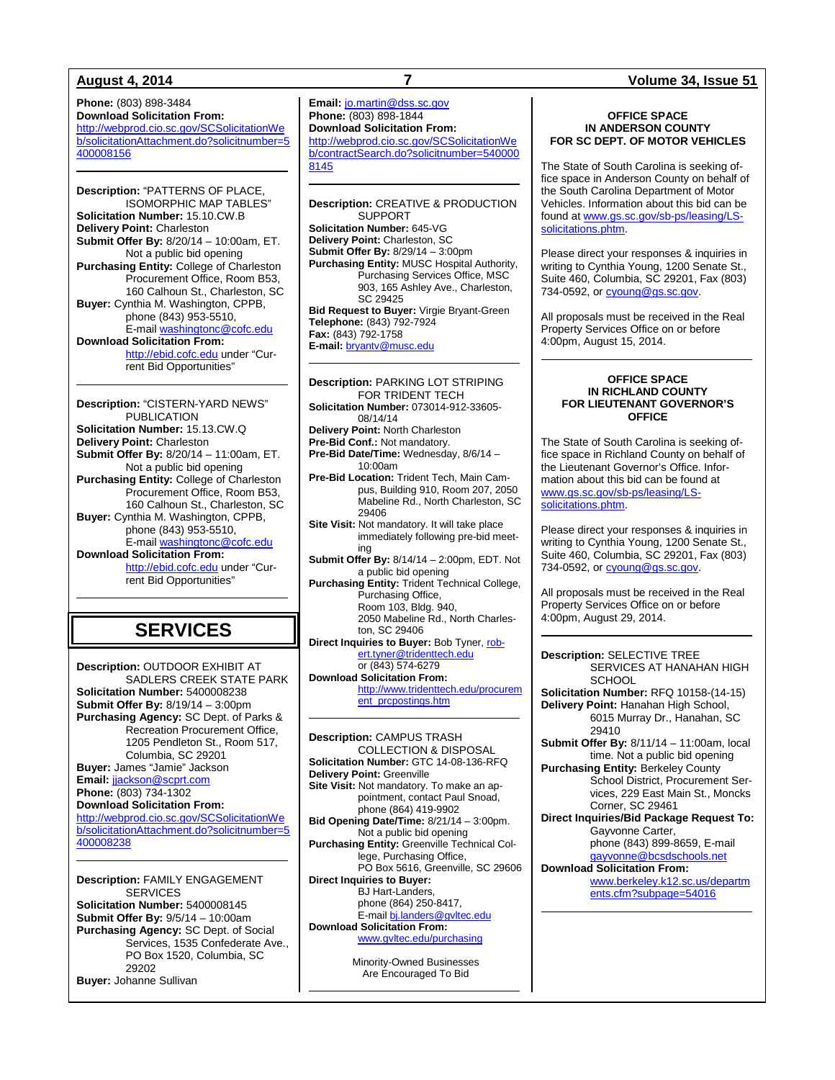**Phone:** (803) 898-3484 **Download Solicitation From:** [http://webprod.cio.sc.gov/SCSolicitationWe](http://webprod.cio.sc.gov/SCSolicitationWeb/solicitationAttachment.do?solicitnumber=5400008156) [b/solicitationAttachment.do?solicitnumber=5](http://webprod.cio.sc.gov/SCSolicitationWeb/solicitationAttachment.do?solicitnumber=5400008156) [400008156](http://webprod.cio.sc.gov/SCSolicitationWeb/solicitationAttachment.do?solicitnumber=5400008156)

**Description:** "PATTERNS OF PLACE, ISOMORPHIC MAP TABLES" **Solicitation Number:** 15.10.CW.B **Delivery Point:** Charleston **Submit Offer By:** 8/20/14 – 10:00am, ET. Not a public bid opening **Purchasing Entity:** College of Charleston Procurement Office, Room B53, 160 Calhoun St., Charleston, SC **Buyer:** Cynthia M. Washington, CPPB, phone (843) 953-5510, E-mail [washingtonc@cofc.edu](mailto:washingtonc@cofc.edu) **Download Solicitation From:** [http://ebid.cofc.edu](http://ebid.cofc.edu/) under "Current Bid Opportunities"

**Description:** "CISTERN-YARD NEWS" PUBLICATION **Solicitation Number:** 15.13.CW.Q **Delivery Point:** Charleston **Submit Offer By:** 8/20/14 – 11:00am, ET. Not a public bid opening **Purchasing Entity:** College of Charleston Procurement Office, Room B53, 160 Calhoun St., Charleston, SC **Buyer:** Cynthia M. Washington, CPPB, phone (843) 953-5510, E-mail [washingtonc@cofc.edu](mailto:washingtonc@cofc.edu) **Download Solicitation From:** [http://ebid.cofc.edu](http://ebid.cofc.edu/) under "Current Bid Opportunities"

## **SERVICES**

**Description:** OUTDOOR EXHIBIT AT SADLERS CREEK STATE PARK **Solicitation Number:** 5400008238 **Submit Offer By:** 8/19/14 – 3:00pm **Purchasing Agency:** SC Dept. of Parks & Recreation Procurement Office, 1205 Pendleton St., Room 517, Columbia, SC 29201 **Buyer:** James "Jamie" Jackson **Email:** [jjackson@scprt.com](mailto:jjackson@scprt.com) **Phone:** (803) 734-1302 **Download Solicitation From:** [http://webprod.cio.sc.gov/SCSolicitationWe](http://webprod.cio.sc.gov/SCSolicitationWeb/solicitationAttachment.do?solicitnumber=5400008238) [b/solicitationAttachment.do?solicitnumber=5](http://webprod.cio.sc.gov/SCSolicitationWeb/solicitationAttachment.do?solicitnumber=5400008238) [400008238](http://webprod.cio.sc.gov/SCSolicitationWeb/solicitationAttachment.do?solicitnumber=5400008238)

**Description:** FAMILY ENGAGEMENT **SERVICES Solicitation Number:** 5400008145 **Submit Offer By:** 9/5/14 – 10:00am **Purchasing Agency:** SC Dept. of Social Services, 1535 Confederate Ave., PO Box 1520, Columbia, SC 29202 **Buyer:** Johanne Sullivan

**Email:** [jo.martin@dss.sc.gov](mailto:jo.martin@dss.sc.gov) **Phone:** (803) 898-1844 **Download Solicitation From:** [http://webprod.cio.sc.gov/SCSolicitationWe](http://webprod.cio.sc.gov/SCSolicitationWeb/contractSearch.do?solicitnumber=5400008145) [b/contractSearch.do?solicitnumber=540000](http://webprod.cio.sc.gov/SCSolicitationWeb/contractSearch.do?solicitnumber=5400008145) [8145](http://webprod.cio.sc.gov/SCSolicitationWeb/contractSearch.do?solicitnumber=5400008145)

**Description:** CREATIVE & PRODUCTION SUPPORT **Solicitation Number:** 645-VG **Delivery Point:** Charleston, SC **Submit Offer By:** 8/29/14 – 3:00pm **Purchasing Entity:** MUSC Hospital Authority, Purchasing Services Office, MSC 903, 165 Ashley Ave., Charleston, SC 29425 **Bid Request to Buver: Virgie Bryant-Green Telephone:** (843) 792-7924 **Fax:** (843) 792-1758

**E-mail:** [bryantv@musc.edu](mailto:bryantv@musc.edu) **Description:** PARKING LOT STRIPING FOR TRIDENT TECH **Solicitation Number:** 073014-912-33605-

08/14/14

**Delivery Point:** North Charleston

**Pre-Bid Conf.:** Not mandatory. **Pre-Bid Date/Time:** Wednesday, 8/6/14 – 10:00am

**Pre-Bid Location:** Trident Tech, Main Campus, Building 910, Room 207, 2050 Mabeline Rd., North Charleston, SC 29406

**Site Visit:** Not mandatory. It will take place immediately following pre-bid meeting

**Submit Offer By:** 8/14/14 – 2:00pm, EDT. Not a public bid opening

Purchasing Entity: Trident Technical College, Purchasing Office, Room 103, Bldg. 940,

2050 Mabeline Rd., North Charleston, SC 29406

**Direct Inquiries to Buyer: Bob Tyner[, rob](mailto:robert.tyner@tridenttech.edu)**[ert.tyner@tridenttech.edu](mailto:robert.tyner@tridenttech.edu) or (843) 574-6279

**Download Solicitation From:** [http://www.tridenttech.edu/procurem](http://www.tridenttech.edu/procurement_prcpostings.htm) [ent\\_prcpostings.htm](http://www.tridenttech.edu/procurement_prcpostings.htm)

**Description:** CAMPUS TRASH COLLECTION & DISPOSAL **Solicitation Number:** GTC 14-08-136-RFQ **Delivery Point:** Greenville **Site Visit:** Not mandatory. To make an appointment, contact Paul Snoad, phone (864) 419-9902 **Bid Opening Date/Time:** 8/21/14 – 3:00pm. Not a public bid opening **Purchasing Entity:** Greenville Technical College, Purchasing Office, PO Box 5616, Greenville, SC 29606 **Direct Inquiries to Buyer:** BJ Hart-Landers, phone (864) 250-8417, E-mail [bj.landers@gvltec.edu](mailto:bj.landers@gvltec.edu) **Download Solicitation From:**

[www.gvltec.edu/purchasing](http://www.gvltec.edu/purchasing)

Minority-Owned Businesses Are Encouraged To Bid

#### **OFFICE SPACE IN ANDERSON COUNTY FOR SC DEPT. OF MOTOR VEHICLES**

The State of South Carolina is seeking office space in Anderson County on behalf of the South Carolina Department of Motor Vehicles. Information about this bid can be found at [www.gs.sc.gov/sb-ps/leasing/LS](http://www.gs.sc.gov/sb-ps/leasing/LS-solicitations.phtm)[solicitations.phtm.](http://www.gs.sc.gov/sb-ps/leasing/LS-solicitations.phtm)

Please direct your responses & inquiries in writing to Cynthia Young, 1200 Senate St., Suite 460, Columbia, SC 29201, Fax (803) 734-0592, o[r cyoung@gs.sc.gov.](mailto:cyoung@gs.sc.gov)

All proposals must be received in the Real Property Services Office on or before 4:00pm, August 15, 2014.

#### **OFFICE SPACE IN RICHLAND COUNTY FOR LIEUTENANT GOVERNOR'S OFFICE**

The State of South Carolina is seeking office space in Richland County on behalf of the Lieutenant Governor's Office. Information about this bid can be found at [www.gs.sc.gov/sb-ps/leasing/LS](http://www.gs.sc.gov/sb-ps/leasing/LS-solicitations.phtm)[solicitations.phtm.](http://www.gs.sc.gov/sb-ps/leasing/LS-solicitations.phtm)

Please direct your responses & inquiries in writing to Cynthia Young, 1200 Senate St., Suite 460, Columbia, SC 29201, Fax (803) 734-0592, o[r cyoung@gs.sc.gov.](mailto:cyoung@gs.sc.gov)

All proposals must be received in the Real Property Services Office on or before 4:00pm, August 29, 2014.

**Description:** SELECTIVE TREE SERVICES AT HANAHAN HIGH **SCHOOL** 

**Solicitation Number:** RFQ 10158-(14-15) **Delivery Point:** Hanahan High School, 6015 Murray Dr., Hanahan, SC 29410

**Submit Offer By:** 8/11/14 – 11:00am, local time. Not a public bid opening

**Purchasing Entity:** Berkeley County School District, Procurement Services, 229 East Main St., Moncks Corner, SC 29461

**Direct Inquiries/Bid Package Request To:** Gayvonne Carter, phone (843) 899-8659, E-mail [gayvonne@bcsdschools.net](mailto:gayvonne@bcsdschools.net)

**Download Solicitation From:** [www.berkeley.k12.sc.us/departm](http://www.berkeley.k12.sc.us/departments.cfm?subpage=54016) [ents.cfm?subpage=54016](http://www.berkeley.k12.sc.us/departments.cfm?subpage=54016)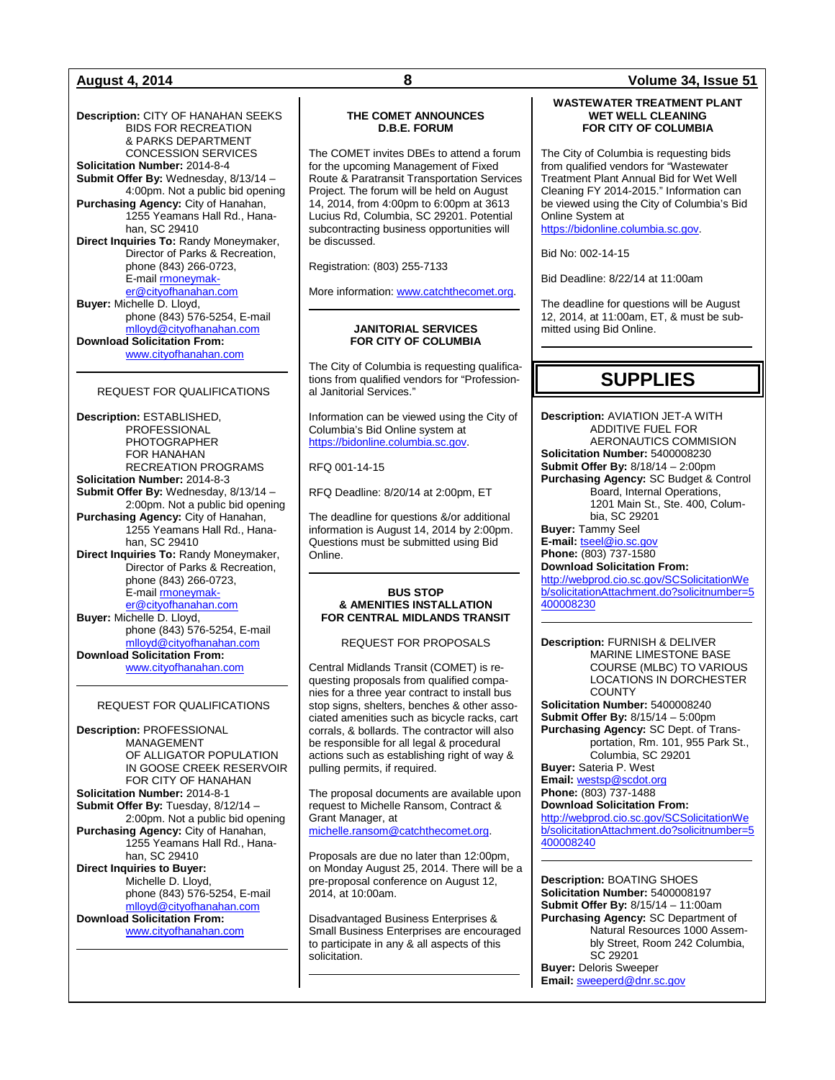**Description:** CITY OF HANAHAN SEEKS BIDS FOR RECREATION & PARKS DEPARTMENT CONCESSION SERVICES **Solicitation Number:** 2014-8-4 **Submit Offer By:** Wednesday, 8/13/14 – 4:00pm. Not a public bid opening **Purchasing Agency:** City of Hanahan, 1255 Yeamans Hall Rd., Hanahan, SC 29410 **Direct Inquiries To:** Randy Moneymaker, Director of Parks & Recreation, phone (843) 266-0723, E-mail **rmoneymak**[er@cityofhanahan.com](mailto:rmoneymaker@cityofhanahan.com) **Buyer:** Michelle D. Lloyd, phone (843) 576-5254, E-mail [mlloyd@cityofhanahan.com](mailto:mlloyd@cityofhanahan.com) **Download Solicitation From:** [www.cityofhanahan.com](http://www.cityofhanahan.com/)

#### REQUEST FOR QUALIFICATIONS

**Description:** ESTABLISHED, PROFESSIONAL PHOTOGRAPHER FOR HANAHAN RECREATION PROGRAMS **Solicitation Number:** 2014-8-3 **Submit Offer By:** Wednesday, 8/13/14 – 2:00pm. Not a public bid opening **Purchasing Agency:** City of Hanahan, 1255 Yeamans Hall Rd., Hanahan, SC 29410 **Direct Inquiries To:** Randy Moneymaker, Director of Parks & Recreation, phone (843) 266-0723, E-mail **rmoneymak**[er@cityofhanahan.com](mailto:rmoneymaker@cityofhanahan.com) **Buyer:** Michelle D. Lloyd, phone (843) 576-5254, E-mail [mlloyd@cityofhanahan.com](mailto:mlloyd@cityofhanahan.com) **Download Solicitation From:** [www.cityofhanahan.com](http://www.cityofhanahan.com/)

#### REQUEST FOR QUALIFICATIONS

**Description:** PROFESSIONAL MANAGEMENT OF ALLIGATOR POPULATION IN GOOSE CREEK RESERVOIR FOR CITY OF HANAHAN **Solicitation Number:** 2014-8-1 **Submit Offer By:** Tuesday, 8/12/14 – 2:00pm. Not a public bid opening **Purchasing Agency:** City of Hanahan, 1255 Yeamans Hall Rd., Hanahan, SC 29410 **Direct Inquiries to Buyer:** Michelle D. Lloyd, phone (843) 576-5254, E-mail [mlloyd@cityofhanahan.com](mailto:mlloyd@cityofhanahan.com) **Download Solicitation From:** [www.cityofhanahan.com](http://www.cityofhanahan.com/)

### **THE COMET ANNOUNCES D.B.E. FORUM**

The COMET invites DBEs to attend a forum for the upcoming Management of Fixed Route & Paratransit Transportation Services Project. The forum will be held on August 14, 2014, from 4:00pm to 6:00pm at 3613 Lucius Rd, Columbia, SC 29201. Potential subcontracting business opportunities will be discussed.

Registration: (803) 255-7133

More information: [www.catchthecomet.org.](http://www.catchthecomet.org/)

#### **JANITORIAL SERVICES FOR CITY OF COLUMBIA**

The City of Columbia is requesting qualifications from qualified vendors for "Professional Janitorial Services."

Information can be viewed using the City of Columbia's Bid Online system at [https://bidonline.columbia.sc.gov.](https://bidonline.columbia.sc.gov/)

RFQ 001-14-15

RFQ Deadline: 8/20/14 at 2:00pm, ET

The deadline for questions &/or additional information is August 14, 2014 by 2:00pm. Questions must be submitted using Bid Online.

#### **BUS STOP & AMENITIES INSTALLATION FOR CENTRAL MIDLANDS TRANSIT**

REQUEST FOR PROPOSALS

Central Midlands Transit (COMET) is requesting proposals from qualified companies for a three year contract to install bus stop signs, shelters, benches & other associated amenities such as bicycle racks, cart corrals, & bollards. The contractor will also be responsible for all legal & procedural actions such as establishing right of way & pulling permits, if required.

The proposal documents are available upon request to Michelle Ransom, Contract & Grant Manager, at [michelle.ransom@catchthecomet.org.](mailto:michelle.ransom@catchthecomet.org)

Proposals are due no later than 12:00pm, on Monday August 25, 2014. There will be a pre-proposal conference on August 12, 2014, at 10:00am.

Disadvantaged Business Enterprises & Small Business Enterprises are encouraged to participate in any & all aspects of this solicitation.

### **August 4, 2014 8 Volume 34, Issue 51**

#### **WASTEWATER TREATMENT PLANT WET WELL CLEANING FOR CITY OF COLUMBIA**

The City of Columbia is requesting bids from qualified vendors for "Wastewater Treatment Plant Annual Bid for Wet Well Cleaning FY 2014-2015." Information can be viewed using the City of Columbia's Bid Online System at [https://bidonline.columbia.sc.gov.](https://bidonline.columbia.sc.gov/)

Bid No: 002-14-15

Bid Deadline: 8/22/14 at 11:00am

The deadline for questions will be August 12, 2014, at 11:00am, ET, & must be submitted using Bid Online.

## **SUPPLIES**

**Description:** AVIATION JET-A WITH ADDITIVE FUEL FOR AERONAUTICS COMMISION **Solicitation Number:** 5400008230 **Submit Offer By:** 8/18/14 – 2:00pm **Purchasing Agency:** SC Budget & Control Board, Internal Operations, 1201 Main St., Ste. 400, Columbia, SC 29201 **Buyer:** Tammy Seel **E-mail:** [tseel@io.sc.gov](mailto:tseel@io.sc.gov) **Phone:** (803) 737-1580

**Download Solicitation From:** [http://webprod.cio.sc.gov/SCSolicitationWe](http://webprod.cio.sc.gov/SCSolicitationWeb/solicitationAttachment.do?solicitnumber=5400008230) [b/solicitationAttachment.do?solicitnumber=5](http://webprod.cio.sc.gov/SCSolicitationWeb/solicitationAttachment.do?solicitnumber=5400008230)

[400008230](http://webprod.cio.sc.gov/SCSolicitationWeb/solicitationAttachment.do?solicitnumber=5400008230)

**Description:** FURNISH & DELIVER MARINE LIMESTONE BASE COURSE (MLBC) TO VARIOUS LOCATIONS IN DORCHESTER **COUNTY** 

**Solicitation Number:** 5400008240 **Submit Offer By:** 8/15/14 – 5:00pm **Purchasing Agency:** SC Dept. of Transportation, Rm. 101, 955 Park St., Columbia, SC 29201 **Buyer:** Sateria P. West

**Email:** [westsp@scdot.org](mailto:westsp@scdot.org)

**Phone:** (803) 737-1488

**Download Solicitation From:** [http://webprod.cio.sc.gov/SCSolicitationWe](http://webprod.cio.sc.gov/SCSolicitationWeb/solicitationAttachment.do?solicitnumber=5400008240) [b/solicitationAttachment.do?solicitnumber=5](http://webprod.cio.sc.gov/SCSolicitationWeb/solicitationAttachment.do?solicitnumber=5400008240) [400008240](http://webprod.cio.sc.gov/SCSolicitationWeb/solicitationAttachment.do?solicitnumber=5400008240)

**Description:** BOATING SHOES **Solicitation Number:** 5400008197 **Submit Offer By:** 8/15/14 – 11:00am **Purchasing Agency:** SC Department of Natural Resources 1000 Assembly Street, Room 242 Columbia, SC 29201 **Buyer:** Deloris Sweeper **Email:** [sweeperd@dnr.sc.gov](mailto:sweeperd@dnr.sc.gov)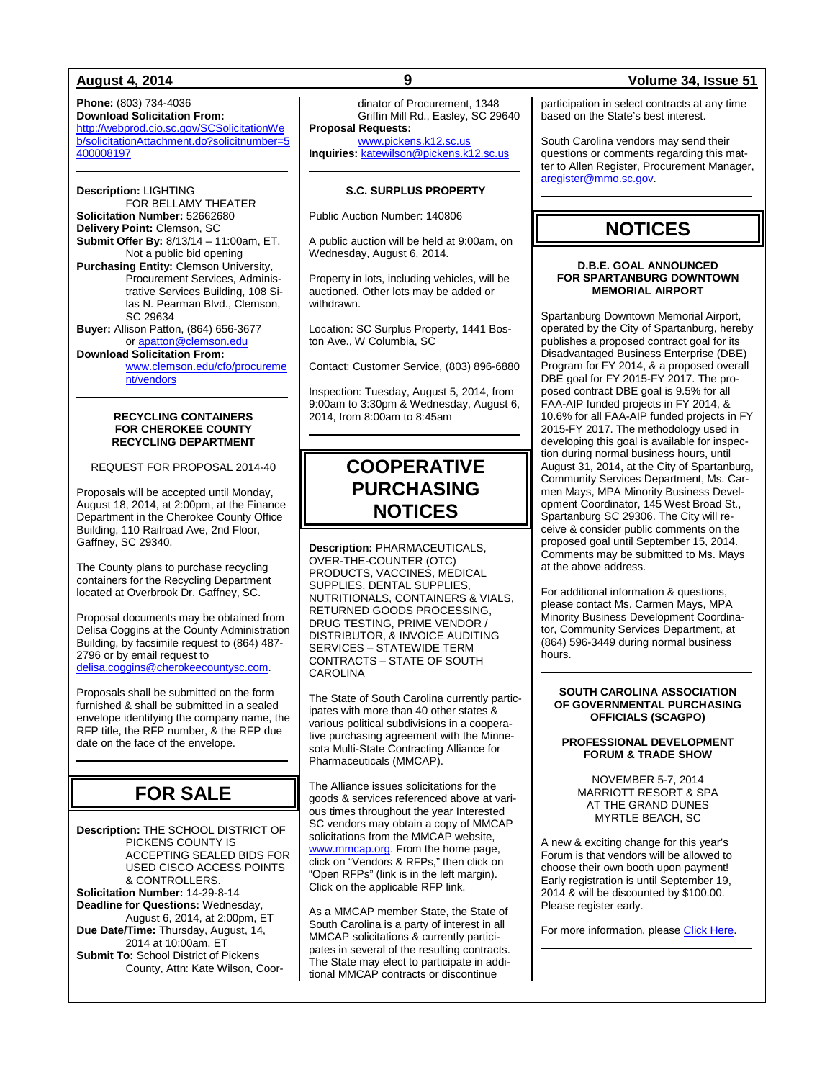### **August 4, 2014 9 Volume 34, Issue 51**

**Phone:** (803) 734-4036 **Download Solicitation From:** [http://webprod.cio.sc.gov/SCSolicitationWe](http://webprod.cio.sc.gov/SCSolicitationWeb/solicitationAttachment.do?solicitnumber=5400008197) [b/solicitationAttachment.do?solicitnumber=5](http://webprod.cio.sc.gov/SCSolicitationWeb/solicitationAttachment.do?solicitnumber=5400008197) [400008197](http://webprod.cio.sc.gov/SCSolicitationWeb/solicitationAttachment.do?solicitnumber=5400008197)

**Description:** LIGHTING FOR BELLAMY THEATER **Solicitation Number:** 52662680 **Delivery Point:** Clemson, SC **Submit Offer By:** 8/13/14 – 11:00am, ET. Not a public bid opening **Purchasing Entity:** Clemson University, Procurement Services, Administrative Services Building, 108 Silas N. Pearman Blvd., Clemson, SC 29634 **Buyer:** Allison Patton, (864) 656-3677 o[r apatton@clemson.edu](mailto:apatton@clemson.edu)

**Download Solicitation From:** [www.clemson.edu/cfo/procureme](http://www.clemson.edu/cfo/procurement/vendors) [nt/vendors](http://www.clemson.edu/cfo/procurement/vendors)

#### **RECYCLING CONTAINERS FOR CHEROKEE COUNTY RECYCLING DEPARTMENT**

REQUEST FOR PROPOSAL 2014-40

Proposals will be accepted until Monday, August 18, 2014, at 2:00pm, at the Finance Department in the Cherokee County Office Building, 110 Railroad Ave, 2nd Floor, Gaffney, SC 29340.

The County plans to purchase recycling containers for the Recycling Department located at Overbrook Dr. Gaffney, SC.

Proposal documents may be obtained from Delisa Coggins at the County Administration Building, by facsimile request to (864) 487- 2796 or by email request to [delisa.coggins@cherokeecountysc.com.](mailto:delisa.coggins@cherokeecountysc.com)

Proposals shall be submitted on the form furnished & shall be submitted in a sealed envelope identifying the company name, the RFP title, the RFP number, & the RFP due date on the face of the envelope.

## **FOR SALE**

**Description:** THE SCHOOL DISTRICT OF PICKENS COUNTY IS ACCEPTING SEALED BIDS FOR USED CISCO ACCESS POINTS & CONTROLLERS. **Solicitation Number:** 14-29-8-14 **Deadline for Questions:** Wednesday, August 6, 2014, at 2:00pm, ET **Due Date/Time:** Thursday, August, 14, 2014 at 10:00am, ET **Submit To:** School District of Pickens County, Attn: Kate Wilson, Coor-

dinator of Procurement, 1348 Griffin Mill Rd., Easley, SC 29640 **Proposal Requests:**

[www.pickens.k12.sc.us](http://www.pickens.k12.sc.us/)

**Inquiries:** [katewilson@pickens.k12.sc.us](mailto:katewilson@pickens.k12.sc.us)

### **S.C. SURPLUS PROPERTY**

Public Auction Number: 140806

A public auction will be held at 9:00am, on Wednesday, August 6, 2014.

Property in lots, including vehicles, will be auctioned. Other lots may be added or withdrawn.

Location: SC Surplus Property, 1441 Boston Ave., W Columbia, SC

Contact: Customer Service, (803) 896-6880

Inspection: Tuesday, August 5, 2014, from 9:00am to 3:30pm & Wednesday, August 6, 2014, from 8:00am to 8:45am

## **COOPERATIVE PURCHASING NOTICES**

**Description:** PHARMACEUTICALS, OVER-THE-COUNTER (OTC) PRODUCTS, VACCINES, MEDICAL SUPPLIES, DENTAL SUPPLIES, NUTRITIONALS, CONTAINERS & VIALS, RETURNED GOODS PROCESSING, DRUG TESTING, PRIME VENDOR / DISTRIBUTOR, & INVOICE AUDITING SERVICES – STATEWIDE TERM CONTRACTS – STATE OF SOUTH CAROLINA

The State of South Carolina currently participates with more than 40 other states & various political subdivisions in a cooperative purchasing agreement with the Minnesota Multi-State Contracting Alliance for Pharmaceuticals (MMCAP).

The Alliance issues solicitations for the goods & services referenced above at various times throughout the year Interested SC vendors may obtain a copy of MMCAP solicitations from the MMCAP website, [www.mmcap.org.](http://www.mmcap.org/) From the home page, click on "Vendors & RFPs," then click on "Open RFPs" (link is in the left margin). Click on the applicable RFP link.

As a MMCAP member State, the State of South Carolina is a party of interest in all MMCAP solicitations & currently participates in several of the resulting contracts. The State may elect to participate in additional MMCAP contracts or discontinue

participation in select contracts at any time based on the State's best interest.

South Carolina vendors may send their questions or comments regarding this matter to Allen Register, Procurement Manager, [aregister@mmo.sc.gov.](mailto:aregister@mmo.sc.gov)

## **NOTICES**

#### **D.B.E. GOAL ANNOUNCED FOR SPARTANBURG DOWNTOWN MEMORIAL AIRPORT**

Spartanburg Downtown Memorial Airport, operated by the City of Spartanburg, hereby publishes a proposed contract goal for its Disadvantaged Business Enterprise (DBE) Program for FY 2014, & a proposed overall DBE goal for FY 2015-FY 2017. The proposed contract DBE goal is 9.5% for all FAA-AIP funded projects in FY 2014, & 10.6% for all FAA-AIP funded projects in FY 2015-FY 2017. The methodology used in developing this goal is available for inspection during normal business hours, until August 31, 2014, at the City of Spartanburg, Community Services Department, Ms. Carmen Mays, MPA Minority Business Development Coordinator, 145 West Broad St., Spartanburg SC 29306. The City will receive & consider public comments on the proposed goal until September 15, 2014. Comments may be submitted to Ms. Mays at the above address.

For additional information & questions, please contact Ms. Carmen Mays, MPA Minority Business Development Coordinator, Community Services Department, at (864) 596-3449 during normal business hours.

#### **SOUTH CAROLINA ASSOCIATION OF GOVERNMENTAL PURCHASING OFFICIALS (SCAGPO)**

### **PROFESSIONAL DEVELOPMENT FORUM & TRADE SHOW**

NOVEMBER 5-7, 2014 MARRIOTT RESORT & SPA AT THE GRAND DUNES MYRTLE BEACH, SC

A new & exciting change for this year's Forum is that vendors will be allowed to choose their own booth upon payment! Early registration is until September 19, 2014 & will be discounted by \$100.00. Please register early.

For more information, pleas[e Click Here.](http://scagpo.org/meetinginfo.php?id=14&ts=1403813275)